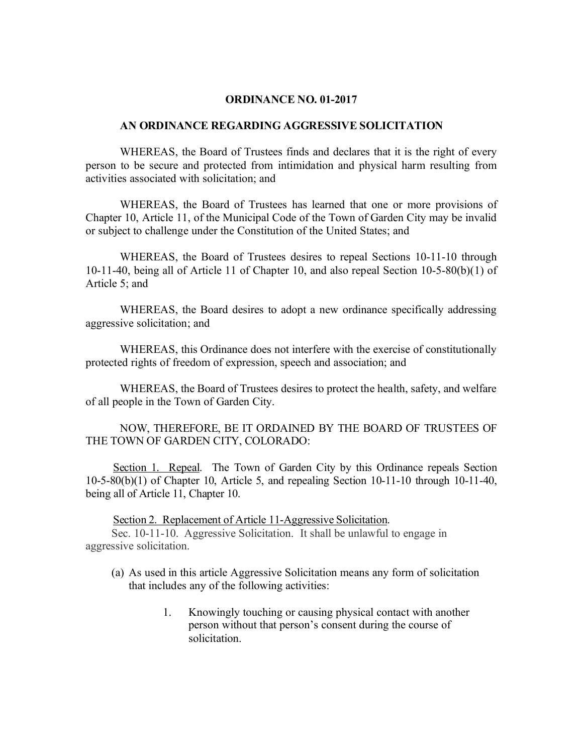## **ORDINANCE NO. 01-2017**

## **AN ORDINANCE REGARDING AGGRESSIVE SOLICITATION**

WHEREAS, the Board of Trustees finds and declares that it is the right of every person to be secure and protected from intimidation and physical harm resulting from activities associated with solicitation; and

WHEREAS, the Board of Trustees has learned that one or more provisions of Chapter 10, Article 11, of the Municipal Code of the Town of Garden City may be invalid or subject to challenge under the Constitution of the United States; and

WHEREAS, the Board of Trustees desires to repeal Sections 10-11-10 through 10-11-40, being all of Article 11 of Chapter 10, and also repeal Section 10-5-80(b)(1) of Article 5; and

WHEREAS, the Board desires to adopt a new ordinance specifically addressing aggressive solicitation; and

WHEREAS, this Ordinance does not interfere with the exercise of constitutionally protected rights of freedom of expression, speech and association; and

WHEREAS, the Board of Trustees desires to protect the health, safety, and welfare of all people in the Town of Garden City.

NOW, THEREFORE, BE IT ORDAINED BY THE BOARD OF TRUSTEES OF THE TOWN OF GARDEN CITY, COLORADO:

 Section 1. Repeal. The Town of Garden City by this Ordinance repeals Section 10-5-80(b)(1) of Chapter 10, Article 5, and repealing Section 10-11-10 through 10-11-40, being all of Article 11, Chapter 10.

Section 2. Replacement of Article 11-Aggressive Solicitation.

Sec. 10-11-10. Aggressive Solicitation. It shall be unlawful to engage in aggressive solicitation.

- (a) As used in this article Aggressive Solicitation means any form of solicitation that includes any of the following activities:
	- 1. Knowingly touching or causing physical contact with another person without that person's consent during the course of solicitation.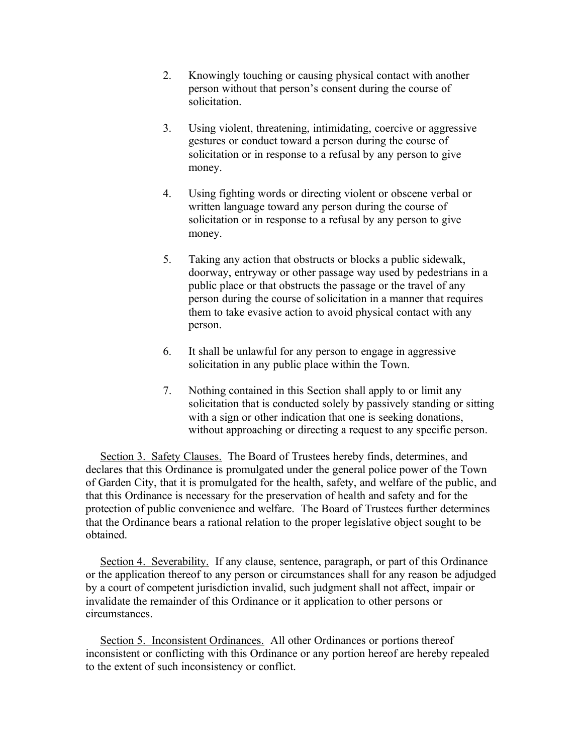- 2. Knowingly touching or causing physical contact with another person without that person's consent during the course of solicitation.
- 3. Using violent, threatening, intimidating, coercive or aggressive gestures or conduct toward a person during the course of solicitation or in response to a refusal by any person to give money.
- 4. Using fighting words or directing violent or obscene verbal or written language toward any person during the course of solicitation or in response to a refusal by any person to give money.
- 5. Taking any action that obstructs or blocks a public sidewalk, doorway, entryway or other passage way used by pedestrians in a public place or that obstructs the passage or the travel of any person during the course of solicitation in a manner that requires them to take evasive action to avoid physical contact with any person.
- 6. It shall be unlawful for any person to engage in aggressive solicitation in any public place within the Town.
- 7. Nothing contained in this Section shall apply to or limit any solicitation that is conducted solely by passively standing or sitting with a sign or other indication that one is seeking donations, without approaching or directing a request to any specific person.

 Section 3. Safety Clauses. The Board of Trustees hereby finds, determines, and declares that this Ordinance is promulgated under the general police power of the Town of Garden City, that it is promulgated for the health, safety, and welfare of the public, and that this Ordinance is necessary for the preservation of health and safety and for the protection of public convenience and welfare. The Board of Trustees further determines that the Ordinance bears a rational relation to the proper legislative object sought to be obtained.

 Section 4. Severability. If any clause, sentence, paragraph, or part of this Ordinance or the application thereof to any person or circumstances shall for any reason be adjudged by a court of competent jurisdiction invalid, such judgment shall not affect, impair or invalidate the remainder of this Ordinance or it application to other persons or circumstances.

Section 5. Inconsistent Ordinances. All other Ordinances or portions thereof inconsistent or conflicting with this Ordinance or any portion hereof are hereby repealed to the extent of such inconsistency or conflict.